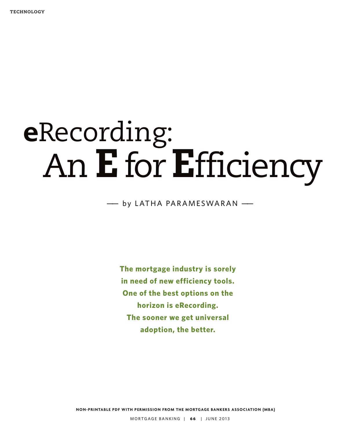# **e**Recording: An **E**for**E**fficiency

### —— by LATHA PARAMESWARAN ——

**The mortgage industry is sorely in need of new efficiency tools. One of the best options on the horizon is eRecording. The sooner we get universal adoption, the better.**

**NON-PRINTABLE PDF WITH PERMISSION FROM THE MORTGAGE BANKERS ASSOCIATION (MBA)**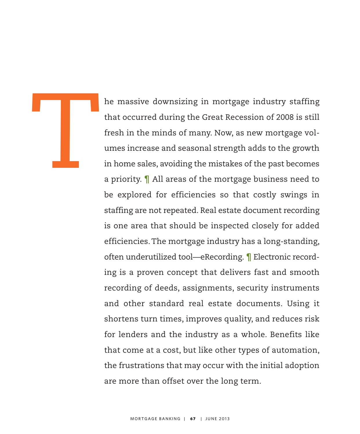he massive downsizing in mortgage industry staffing that occurred during the Great Recession of 2008 is still fresh in the minds of many. Now, as new mortgage volumes increase and seasonal strength adds to the growth in home sales, avoiding the mistakes of the past becomes a priority. ¶ All areas of the mortgage business need to be explored for efficiencies so that costly swings in staffing are not repeated. Real estate document recording is one area that should be inspected closely for added efficiencies.The mortgage industry has a long-standing, often underutilized tool—eRecording. ¶ Electronic recording is a proven concept that delivers fast and smooth recording of deeds, assignments, security instruments and other standard real estate documents. Using it shortens turn times, improves quality, and reduces risk for lenders and the industry as a whole. Benefits like that come at a cost, but like other types of automation, the frustrations that may occur with the initial adoption are more than offset over the long term.

T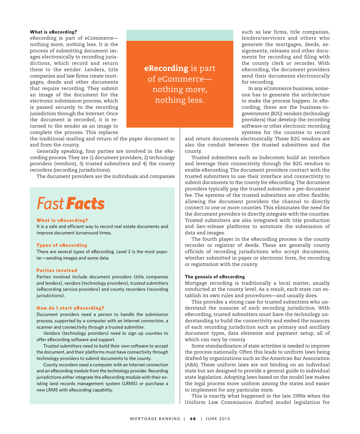#### **What is eRecording?**

eRecording is part of eCommerce nothing more, nothing less. It is the process of submitting document images electronically to recording jurisdictions, which record and return them to the sender. Lenders, title companies and law firms create mortgages, deeds and other documents that require recording. They submit an image of the document for the electronic submission process, which is passed securely to the recording jurisdiction through the Internet. Once the document is recorded, it is returned to the sender as an image to complete the process. This replaces

**eRecording** is part of eCommerce nothing more, nothing less.

the traditional mailing and return of the paper document to and from the county.

Generally speaking, four parties are involved in the eRecording process.They are 1) document providers, 2) technology providers (vendors), 3) trusted submitters and 4) the county recorders (recording jurisdictions).

The document providers are the individuals and companies

## *FastFacts*

#### **What is eRecording?**

It is a safe and efficient way to record real estate documents and improve document turnaround times.

#### **Types of eRecording**

There are several types of eRecording. Level 2 is the most popular—sending images and some data.

#### **Parties involved**

Parties involved include document providers (title companies and lenders), vendors (technology providers), trusted submitters (eRecording service providers) and county recorders (recording jurisdictions).

#### **How do I start eRecording?**

Document providers need a person to handle the submission process, supported by a computer with an Internet connection, a scanner and connectivity through a trusted submitter.

Vendors (technology providers) need to sign up counties to offer eRecording software and support.

Trusted submitters need to build their own software to accept the document, and their platforms must have connectivity through technology providers to submit documents to the county.

County recorders need a computer with an Internet connection and an eRecording module from the technology provider. Recording jurisdictions either integrate the eRecording module with their existing land records management system (LRMS) or purchase a new LRMS with eRecording capability.

such as law firms, title companies, lenders/servicers and others who generate the mortgages, deeds, assignments, releases and other documents for recording and filing with the county clerk or recorder. With eRecording, the document providers send their documents electronically for recording.

In any eCommerce business, someone has to generate the architecture to make the process happen. In eRecording, these are the business-togovernment (B2G) vendors (technology providers) that develop the recording software or other electronic recording systems for the counties to record

and return documents electronically. These B2G vendors are also the conduit between the trusted submitters and the county.

Trusted submitters such as Indecomm build an interface and leverage their connectivity through the B2G vendors to enable eRecording.The document providers contract with the trusted submitters to use their interface and connectivity to submit documents to the county for eRecording.The document providers typically pay the trusted submitter a per-document fee. The systems of the trusted submitters are often flexible, allowing the document providers the channel to directly connect to one or more counties.This eliminates the need for the document providers to directly integrate with the counties. Trusted submitters are also integrated with title production and lien-release platforms to automate the submission of data and images.

The fourth player in the eRecording process is the county recorder or registrar of deeds. These are generally county officials of recording jurisdictions who accept documents, whether submitted in paper or electronic form, for recording or registration with the county.

#### **The genesis of eRecording**

Mortgage recording is traditionally a local matter, usually conducted at the county level. As a result, each state can establish its own rules and procedures—and usually does.

This provides a strong case for trusted submitters who understand the nuances of each recording jurisdiction. With eRecording, trusted submitters must have the technology understanding to build the connectivity and embed the nuances of each recording jurisdiction such as primary and ancillary document types, data elements and payment setup, all of which can vary by county.

Some standardization of state activities is needed to improve the process nationally. Often this leads to uniform laws being drafted by organizations such as the American Bar Association (ABA). These uniform laws are not binding on an individual state but are designed to provide a general guide to individual state legislation. Adopting laws based on the model law makes the legal process more uniform among the states and easier to implement for any particular state.

This is exactly what happened in the late 1990s when the Uniform Law Commission drafted model legislation for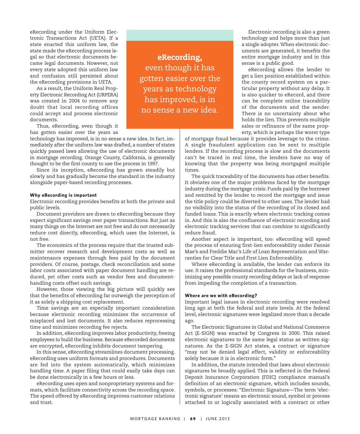eRecording under the Uniform Electronic Transactions Act (UETA). If a state enacted this uniform law, the state made the eRecording process legal so that electronic documents became legal documents. However, not every state adopted this uniform law and confusion still persisted about the eRecording provisions in UETA.

As a result, the Uniform Real Property Electronic Recording Act (URPERA) was created in 2004 to remove any doubt that local recording offices could accept and process electronic documents.

Thus, eRecording, even though it has gotten easier over the years as

technology has improved, is in no sense a new idea. In fact, immediately after the uniform law was drafted, a number of states quickly passed laws allowing the use of electronic documents in mortgage recording. Orange County, California, is generally thought to be the first county to use the process in 1997.

Since its inception, eRecording has grown steadily but slowly and has gradually become the standard in the industry alongside paper-based recording processes.

#### **Why eRecording is important**

Electronic recording provides benefits at both the private and public levels.

Document providers are drawn to eRecording because they expect significant savings over paper transactions. But just as many things on the Internet are not free and do not necessarily reduce cost directly, eRecording, which uses the Internet, is not free.

The economics of the process require that the trusted submitter recover research and development costs as well as maintenance expenses through fees paid by the document providers. Of course, postage, check reconciliation and some labor costs associated with paper document handling are reduced, yet other costs such as vendor fees and documenthandling costs offset such savings.

However, those viewing the big picture will quickly see that the benefits of eRecording far outweigh the perception of it as solely a shipping cost replacement.

Time savings are an especially important consideration because electronic recording minimizes the occurrence of misplaced and lost documents. It also reduces reprocessing time and minimizes recording fee rejects.

In addition, eRecording improves labor productivity, freeing employees to build the business. Because eRecorded documents are encrypted, eRecording inhibits document tampering.

In this sense, eRecording streamlines document processing. eRecording uses uniform formats and procedures. Documents are fed into the system automatically, which minimizes handling time. A paper filing that could easily take days can be done electronically in a few hours or less.

eRecording uses open and nonproprietary systems and formats, which facilitate connectivity across the recording space. The speed offered by eRecording improves customer relations and trust.

**eRecording,** even though it has gotten easier over the years as technology has improved, is in no sense a new idea.

Electronic recording is also a green technology and helps more than just a single adopter.When electronic documents are generated, it benefits the entire mortgage industry and in this sense is a public good.

eRecording allows the lender to get a lien position established within the county record system on a particular property without any delay. It is also quicker to eRecord, and there can be complete online traceability of the documents and the sender. There is no uncertainty about who holds the lien.This prevents multiple sales or refinance of the same property, which is perhaps the worst type

of mortgage fraud because it provides leverage to the crime. A single fraudulent application can be sent to multiple lenders. If the recording process is slow and the documents can't be traced in real time, the lenders have no way of knowing that the property was being mortgaged multiple times.

The quick traceability of the documents has other benefits. It obviates one of the major problems faced by the mortgage industry during the mortgage crisis: Funds paid by the borrower and remitted by the lender to record the mortgage and issue the title policy could be diverted to other uses.The lender had no visibility into the status of the recording of its closed and funded loans. This is exactly where electronic tracking comes in. And this is also the confluence of electronic recording and electronic tracking services that can combine to significantly reduce fraud.

Another aspect is important, too: eRecording will speed the process of ensuring first-lien enforceability under Fannie Mae's and Freddie Mac's Life of Loan Representation and Warranties for Clear Title and First Lien Enforceability.

Where eRecording is available, the lender can enforce its use. It raises the professional standards for the business, minimizing any possible county recording delays or lack of response from impeding the completion of a transaction.

#### **Where are we with eRecording?**

Important legal issues in electronic recording were resolved long ago at both the federal and state levels. At the federal level, electronic signatures were legalized more than a decade ago.

The Electronic Signatures in Global and National Commerce Act (E-SIGN) was enacted by Congress in 2000. This raised electronic signatures to the same legal status as written signatures. As the E-SIGN Act states, a contract or signature "may not be denied legal effect, validity or enforceability solely because it is in electronic form."

In addition, the statute intended that laws about electronic signatures be broadly applied. This is reflected in the Federal Deposit Insurance Corporation (FDIC) compliance manual's definition of an electronic signature, which includes sounds, symbols, or processes: "Electronic Signature—The term 'electronic signature' means an electronic sound, symbol or process attached to or logically associated with a contract or other